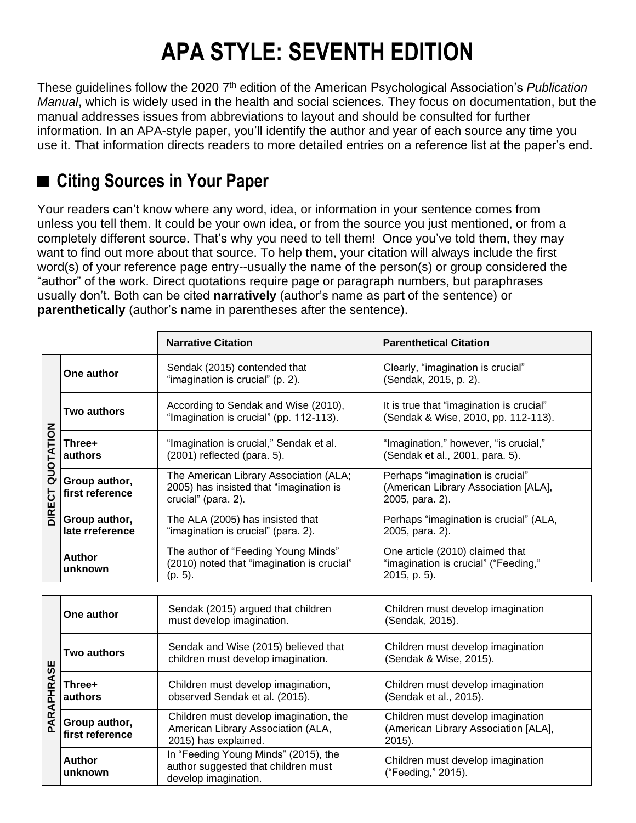## **APA STYLE: SEVENTH EDITION**

These guidelines follow the 2020 7<sup>th</sup> edition of the American Psychological Association's *Publication Manual*, which is widely used in the health and social sciences. They focus on documentation, but the manual addresses issues from abbreviations to layout and should be consulted for further information. In an APA-style paper, you'll identify the author and year of each source any time you use it. That information directs readers to more detailed entries on a reference list at the paper's end.

## ■ Citing Sources in Your Paper

Your readers can't know where any word, idea, or information in your sentence comes from unless you tell them. It could be your own idea, or from the source you just mentioned, or from a completely different source. That's why you need to tell them! Once you've told them, they may want to find out more about that source. To help them, your citation will always include the first word(s) of your reference page entry--usually the name of the person(s) or group considered the "author" of the work. Direct quotations require page or paragraph numbers, but paraphrases usually don't. Both can be cited **narratively** (author's name as part of the sentence) or **parenthetically** (author's name in parentheses after the sentence).

|                                  |                                  | <b>Narrative Citation</b>                                                                                | <b>Parenthetical Citation</b>                                                               |
|----------------------------------|----------------------------------|----------------------------------------------------------------------------------------------------------|---------------------------------------------------------------------------------------------|
| š<br><b>QUOTATI</b><br>5<br>DIRE | One author                       | Sendak (2015) contended that<br>"imagination is crucial" (p. 2).                                         | Clearly, "imagination is crucial"<br>(Sendak, 2015, p. 2).                                  |
|                                  | Two authors                      | According to Sendak and Wise (2010),<br>"Imagination is crucial" (pp. 112-113).                          | It is true that "imagination is crucial"<br>(Sendak & Wise, 2010, pp. 112-113).             |
|                                  | Three+<br>authors                | "Imagination is crucial," Sendak et al.<br>$(2001)$ reflected (para. 5).                                 | "Imagination," however, "is crucial,"<br>(Sendak et al., 2001, para. 5).                    |
|                                  | Group author,<br>first reference | The American Library Association (ALA;<br>2005) has insisted that "imagination is<br>crucial" (para. 2). | Perhaps "imagination is crucial"<br>(American Library Association [ALA],<br>2005, para. 2). |
|                                  | Group author,<br>late rreference | The ALA (2005) has insisted that<br>"imagination is crucial" (para. 2).                                  | Perhaps "imagination is crucial" (ALA,<br>2005, para. 2).                                   |
|                                  | Author<br>unknown                | The author of "Feeding Young Minds"<br>(2010) noted that "imagination is crucial"<br>(p. 5).             | One article (2010) claimed that<br>"imagination is crucial" ("Feeding,"<br>2015, p. 5).     |

| ш<br>S<br>œ<br>폾<br>PARA | One author                       | Sendak (2015) argued that children<br>must develop imagination.                                      | Children must develop imagination<br>(Sendak, 2015).                                   |
|--------------------------|----------------------------------|------------------------------------------------------------------------------------------------------|----------------------------------------------------------------------------------------|
|                          | Two authors                      | Sendak and Wise (2015) believed that<br>children must develop imagination.                           | Children must develop imagination<br>(Sendak & Wise, 2015).                            |
|                          | Three+<br>authors                | Children must develop imagination,<br>observed Sendak et al. (2015).                                 | Children must develop imagination<br>(Sendak et al., 2015).                            |
|                          | Group author,<br>first reference | Children must develop imagination, the<br>American Library Association (ALA,<br>2015) has explained. | Children must develop imagination<br>(American Library Association [ALA],<br>$2015$ ). |
|                          | <b>Author</b><br>unknown         | In "Feeding Young Minds" (2015), the<br>author suggested that children must<br>develop imagination.  | Children must develop imagination<br>("Feeding," 2015).                                |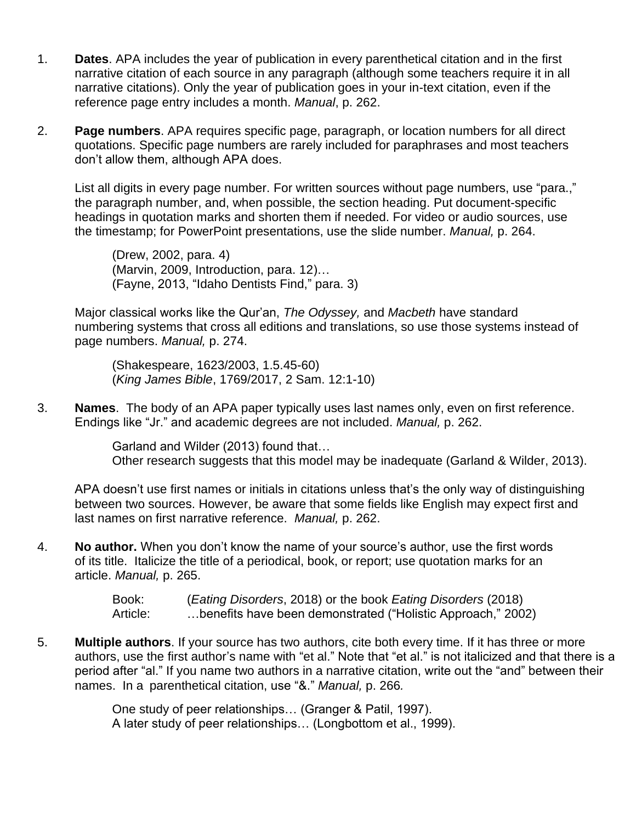- 1. **Dates**. APA includes the year of publication in every parenthetical citation and in the first narrative citation of each source in any paragraph (although some teachers require it in all narrative citations). Only the year of publication goes in your in-text citation, even if the reference page entry includes a month. *Manual*, p. 262.
- 2. **Page numbers**. APA requires specific page, paragraph, or location numbers for all direct quotations. Specific page numbers are rarely included for paraphrases and most teachers don't allow them, although APA does.

List all digits in every page number. For written sources without page numbers, use "para.," the paragraph number, and, when possible, the section heading. Put document-specific headings in quotation marks and shorten them if needed. For video or audio sources, use the timestamp; for PowerPoint presentations, use the slide number. *Manual,* p. 264.

(Drew, 2002, para. 4) (Marvin, 2009, Introduction, para. 12)… (Fayne, 2013, "Idaho Dentists Find," para. 3)

Major classical works like the Qur'an, *The Odyssey,* and *Macbeth* have standard numbering systems that cross all editions and translations, so use those systems instead of page numbers. *Manual,* p. 274.

(Shakespeare, 1623/2003, 1.5.45-60) (*King James Bible*, 1769/2017, 2 Sam. 12:1-10)

3. **Names**. The body of an APA paper typically uses last names only, even on first reference. Endings like "Jr." and academic degrees are not included. *Manual,* p. 262.

> Garland and Wilder (2013) found that… Other research suggests that this model may be inadequate (Garland & Wilder, 2013).

APA doesn't use first names or initials in citations unless that's the only way of distinguishing between two sources. However, be aware that some fields like English may expect first and last names on first narrative reference. *Manual,* p. 262.

4. **No author.** When you don't know the name of your source's author, use the first words of its title. Italicize the title of a periodical, book, or report; use quotation marks for an article. *Manual,* p. 265.

> Book: (*Eating Disorders*, 2018) or the book *Eating Disorders* (2018) Article: …benefits have been demonstrated ("Holistic Approach," 2002)

5. **Multiple authors**. If your source has two authors, cite both every time. If it has three or more authors, use the first author's name with "et al." Note that "et al." is not italicized and that there is a period after "al." If you name two authors in a narrative citation, write out the "and" between their names. In a parenthetical citation, use "&." *Manual,* p. 266*.*

> One study of peer relationships… (Granger & Patil, 1997). A later study of peer relationships… (Longbottom et al., 1999).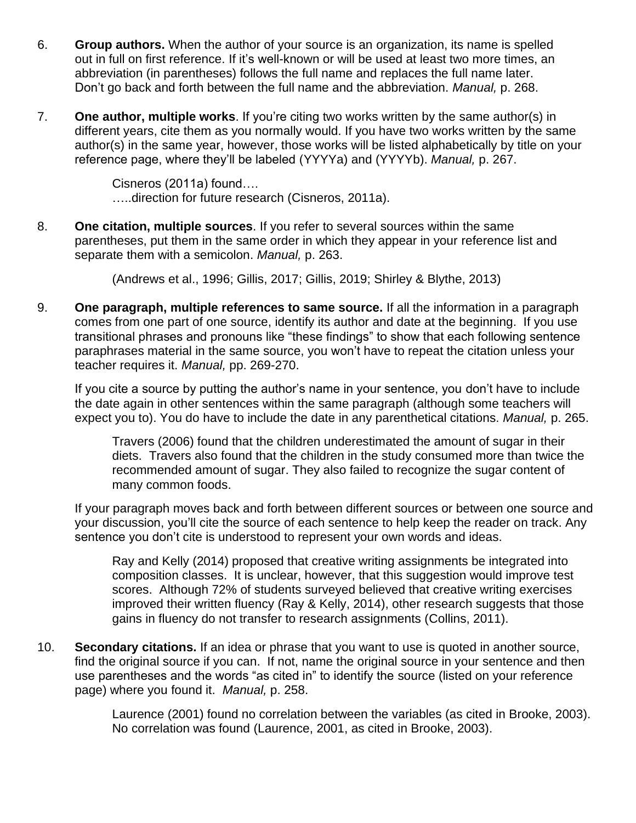- 6. **Group authors.** When the author of your source is an organization, its name is spelled out in full on first reference. If it's well-known or will be used at least two more times, an abbreviation (in parentheses) follows the full name and replaces the full name later. Don't go back and forth between the full name and the abbreviation. *Manual,* p. 268.
- 7. **One author, multiple works**. If you're citing two works written by the same author(s) in different years, cite them as you normally would. If you have two works written by the same author(s) in the same year, however, those works will be listed alphabetically by title on your reference page, where they'll be labeled (YYYYa) and (YYYYb). *Manual,* p. 267.

Cisneros (2011a) found…. …..direction for future research (Cisneros, 2011a).

8. **One citation, multiple sources**. If you refer to several sources within the same parentheses, put them in the same order in which they appear in your reference list and separate them with a semicolon. *Manual,* p. 263.

(Andrews et al., 1996; Gillis, 2017; Gillis, 2019; Shirley & Blythe, 2013)

9. **One paragraph, multiple references to same source.** If all the information in a paragraph comes from one part of one source, identify its author and date at the beginning. If you use transitional phrases and pronouns like "these findings" to show that each following sentence paraphrases material in the same source, you won't have to repeat the citation unless your teacher requires it. *Manual,* pp. 269-270.

If you cite a source by putting the author's name in your sentence, you don't have to include the date again in other sentences within the same paragraph (although some teachers will expect you to). You do have to include the date in any parenthetical citations. *Manual,* p. 265.

Travers (2006) found that the children underestimated the amount of sugar in their diets. Travers also found that the children in the study consumed more than twice the recommended amount of sugar. They also failed to recognize the sugar content of many common foods.

If your paragraph moves back and forth between different sources or between one source and your discussion, you'll cite the source of each sentence to help keep the reader on track. Any sentence you don't cite is understood to represent your own words and ideas.

Ray and Kelly (2014) proposed that creative writing assignments be integrated into composition classes. It is unclear, however, that this suggestion would improve test scores. Although 72% of students surveyed believed that creative writing exercises improved their written fluency (Ray & Kelly, 2014), other research suggests that those gains in fluency do not transfer to research assignments (Collins, 2011).

10. **Secondary citations.** If an idea or phrase that you want to use is quoted in another source, find the original source if you can. If not, name the original source in your sentence and then use parentheses and the words "as cited in" to identify the source (listed on your reference page) where you found it. *Manual,* p. 258.

> Laurence (2001) found no correlation between the variables (as cited in Brooke, 2003). No correlation was found (Laurence, 2001, as cited in Brooke, 2003).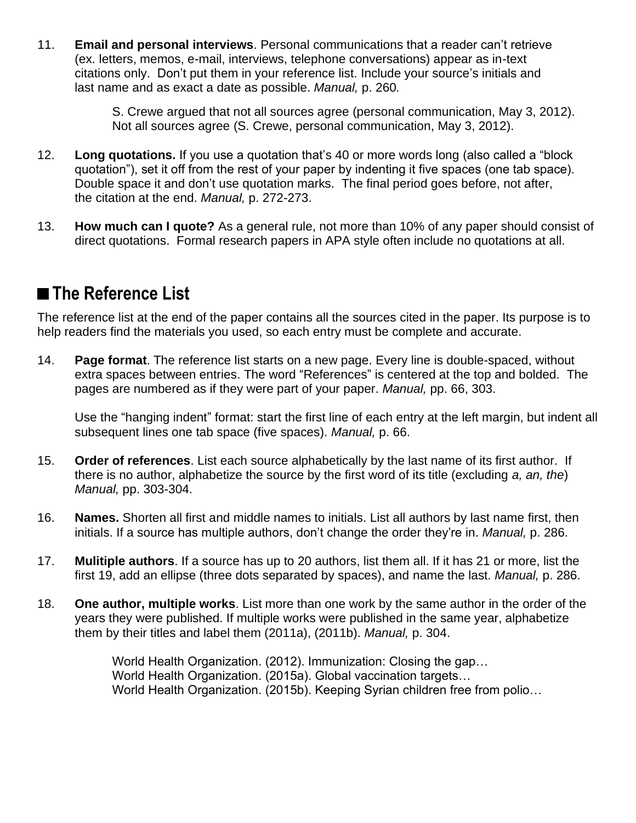11. **Email and personal interviews**. Personal communications that a reader can't retrieve (ex. letters, memos, e-mail, interviews, telephone conversations) appear as in-text citations only. Don't put them in your reference list. Include your source's initials and last name and as exact a date as possible. *Manual,* p. 260*.*

> S. Crewe argued that not all sources agree (personal communication, May 3, 2012). Not all sources agree (S. Crewe, personal communication, May 3, 2012).

- 12. **Long quotations.** If you use a quotation that's 40 or more words long (also called a "block quotation"), set it off from the rest of your paper by indenting it five spaces (one tab space). Double space it and don't use quotation marks. The final period goes before, not after, the citation at the end. *Manual,* p. 272-273.
- 13. **How much can I quote?** As a general rule, not more than 10% of any paper should consist of direct quotations. Formal research papers in APA style often include no quotations at all.

## ■**The Reference List**

The reference list at the end of the paper contains all the sources cited in the paper. Its purpose is to help readers find the materials you used, so each entry must be complete and accurate.

14. **Page format**. The reference list starts on a new page. Every line is double-spaced, without extra spaces between entries. The word "References" is centered at the top and bolded. The pages are numbered as if they were part of your paper. *Manual,* pp. 66, 303.

Use the "hanging indent" format: start the first line of each entry at the left margin, but indent all subsequent lines one tab space (five spaces). *Manual,* p. 66.

- 15. **Order of references**. List each source alphabetically by the last name of its first author. If there is no author, alphabetize the source by the first word of its title (excluding *a, an, the*) *Manual,* pp. 303-304.
- 16. **Names.** Shorten all first and middle names to initials. List all authors by last name first, then initials. If a source has multiple authors, don't change the order they're in. *Manual,* p. 286.
- 17. **Mulitiple authors**. If a source has up to 20 authors, list them all. If it has 21 or more, list the first 19, add an ellipse (three dots separated by spaces), and name the last. *Manual,* p. 286.
- 18. **One author, multiple works**. List more than one work by the same author in the order of the years they were published. If multiple works were published in the same year, alphabetize them by their titles and label them (2011a), (2011b). *Manual,* p. 304.

World Health Organization. (2012). Immunization: Closing the gap… World Health Organization. (2015a). Global vaccination targets… World Health Organization. (2015b). Keeping Syrian children free from polio…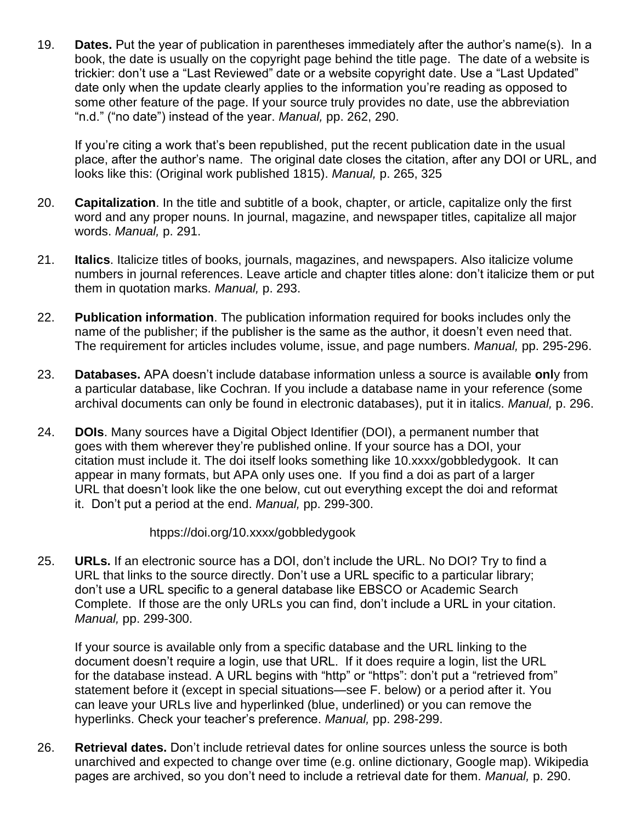19. **Dates.** Put the year of publication in parentheses immediately after the author's name(s). In a book, the date is usually on the copyright page behind the title page. The date of a website is trickier: don't use a "Last Reviewed" date or a website copyright date. Use a "Last Updated" date only when the update clearly applies to the information you're reading as opposed to some other feature of the page. If your source truly provides no date, use the abbreviation "n.d." ("no date") instead of the year. *Manual,* pp. 262, 290.

If you're citing a work that's been republished, put the recent publication date in the usual place, after the author's name. The original date closes the citation, after any DOI or URL, and looks like this: (Original work published 1815). *Manual,* p. 265, 325

- 20. **Capitalization**. In the title and subtitle of a book, chapter, or article, capitalize only the first word and any proper nouns. In journal, magazine, and newspaper titles, capitalize all major words. *Manual,* p. 291.
- 21. **Italics**. Italicize titles of books, journals, magazines, and newspapers. Also italicize volume numbers in journal references. Leave article and chapter titles alone: don't italicize them or put them in quotation marks. *Manual,* p. 293.
- 22. **Publication information**. The publication information required for books includes only the name of the publisher; if the publisher is the same as the author, it doesn't even need that. The requirement for articles includes volume, issue, and page numbers. *Manual,* pp. 295-296.
- 23. **Databases.** APA doesn't include database information unless a source is available **onl**y from a particular database, like Cochran. If you include a database name in your reference (some archival documents can only be found in electronic databases), put it in italics. *Manual,* p. 296.
- 24. **DOIs**. Many sources have a Digital Object Identifier (DOI), a permanent number that goes with them wherever they're published online. If your source has a DOI, your citation must include it. The doi itself looks something like 10.xxxx/gobbledygook. It can appear in many formats, but APA only uses one. If you find a doi as part of a larger URL that doesn't look like the one below, cut out everything except the doi and reformat it. Don't put a period at the end. *Manual,* pp. 299-300.

htpps://doi.org/10.xxxx/gobbledygook

25. **URLs.** If an electronic source has a DOI, don't include the URL. No DOI? Try to find a URL that links to the source directly. Don't use a URL specific to a particular library; don't use a URL specific to a general database like EBSCO or Academic Search Complete. If those are the only URLs you can find, don't include a URL in your citation. *Manual,* pp. 299-300.

If your source is available only from a specific database and the URL linking to the document doesn't require a login, use that URL. If it does require a login, list the URL for the database instead. A URL begins with "http" or "https": don't put a "retrieved from" statement before it (except in special situations—see F. below) or a period after it. You can leave your URLs live and hyperlinked (blue, underlined) or you can remove the hyperlinks. Check your teacher's preference. *Manual,* pp. 298-299.

26. **Retrieval dates.** Don't include retrieval dates for online sources unless the source is both unarchived and expected to change over time (e.g. online dictionary, Google map). Wikipedia pages are archived, so you don't need to include a retrieval date for them. *Manual,* p. 290.